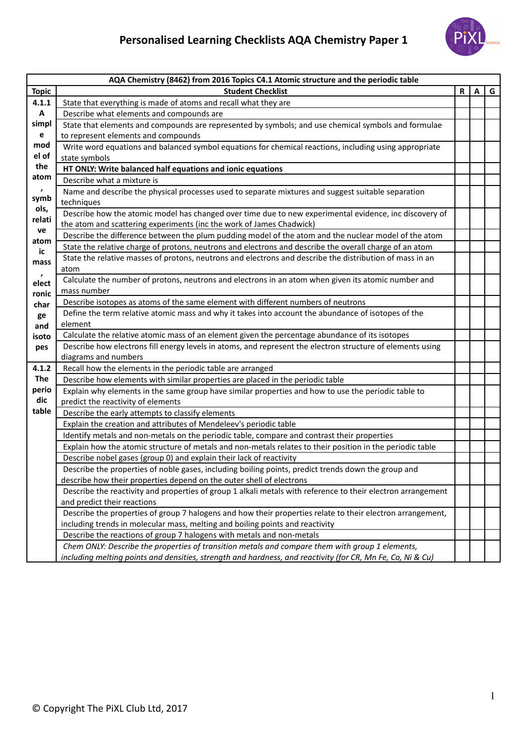## **Personalised Learning Checklists AQA Chemistry Paper 1**



| AQA Chemistry (8462) from 2016 Topics C4.1 Atomic structure and the periodic table |                                                                                                              |   |   |   |
|------------------------------------------------------------------------------------|--------------------------------------------------------------------------------------------------------------|---|---|---|
| <b>Topic</b>                                                                       | <b>Student Checklist</b>                                                                                     | R | A | G |
| 4.1.1                                                                              | State that everything is made of atoms and recall what they are                                              |   |   |   |
| A                                                                                  | Describe what elements and compounds are                                                                     |   |   |   |
| simpl                                                                              | State that elements and compounds are represented by symbols; and use chemical symbols and formulae          |   |   |   |
| $\mathbf e$                                                                        | to represent elements and compounds                                                                          |   |   |   |
| mod                                                                                | Write word equations and balanced symbol equations for chemical reactions, including using appropriate       |   |   |   |
| el of                                                                              | state symbols                                                                                                |   |   |   |
| the                                                                                | HT ONLY: Write balanced half equations and ionic equations                                                   |   |   |   |
| atom                                                                               | Describe what a mixture is                                                                                   |   |   |   |
| $\pmb{\cdot}$                                                                      | Name and describe the physical processes used to separate mixtures and suggest suitable separation           |   |   |   |
| symb                                                                               | techniques                                                                                                   |   |   |   |
| ols,<br>relati                                                                     | Describe how the atomic model has changed over time due to new experimental evidence, inc discovery of       |   |   |   |
| ve                                                                                 | the atom and scattering experiments (inc the work of James Chadwick)                                         |   |   |   |
| atom                                                                               | Describe the difference between the plum pudding model of the atom and the nuclear model of the atom         |   |   |   |
| ic                                                                                 | State the relative charge of protons, neutrons and electrons and describe the overall charge of an atom      |   |   |   |
| mass                                                                               | State the relative masses of protons, neutrons and electrons and describe the distribution of mass in an     |   |   |   |
| $\pmb{\cdot}$                                                                      | atom                                                                                                         |   |   |   |
| elect                                                                              | Calculate the number of protons, neutrons and electrons in an atom when given its atomic number and          |   |   |   |
| ronic                                                                              | mass number                                                                                                  |   |   |   |
| char                                                                               | Describe isotopes as atoms of the same element with different numbers of neutrons                            |   |   |   |
| ge                                                                                 | Define the term relative atomic mass and why it takes into account the abundance of isotopes of the          |   |   |   |
| and                                                                                | element                                                                                                      |   |   |   |
| isoto                                                                              | Calculate the relative atomic mass of an element given the percentage abundance of its isotopes              |   |   |   |
| pes                                                                                | Describe how electrons fill energy levels in atoms, and represent the electron structure of elements using   |   |   |   |
|                                                                                    | diagrams and numbers                                                                                         |   |   |   |
| 4.1.2                                                                              | Recall how the elements in the periodic table are arranged                                                   |   |   |   |
| <b>The</b>                                                                         | Describe how elements with similar properties are placed in the periodic table                               |   |   |   |
| perio<br>dic                                                                       | Explain why elements in the same group have similar properties and how to use the periodic table to          |   |   |   |
| table                                                                              | predict the reactivity of elements                                                                           |   |   |   |
|                                                                                    | Describe the early attempts to classify elements                                                             |   |   |   |
|                                                                                    | Explain the creation and attributes of Mendeleev's periodic table                                            |   |   |   |
|                                                                                    | Identify metals and non-metals on the periodic table, compare and contrast their properties                  |   |   |   |
|                                                                                    | Explain how the atomic structure of metals and non-metals relates to their position in the periodic table    |   |   |   |
|                                                                                    | Describe nobel gases (group 0) and explain their lack of reactivity                                          |   |   |   |
|                                                                                    | Describe the properties of noble gases, including boiling points, predict trends down the group and          |   |   |   |
|                                                                                    | describe how their properties depend on the outer shell of electrons                                         |   |   |   |
|                                                                                    | Describe the reactivity and properties of group 1 alkali metals with reference to their electron arrangement |   |   |   |
|                                                                                    | and predict their reactions                                                                                  |   |   |   |
|                                                                                    | Describe the properties of group 7 halogens and how their properties relate to their electron arrangement,   |   |   |   |
|                                                                                    | including trends in molecular mass, melting and boiling points and reactivity                                |   |   |   |
|                                                                                    | Describe the reactions of group 7 halogens with metals and non-metals                                        |   |   |   |
|                                                                                    | Chem ONLY: Describe the properties of transition metals and compare them with group 1 elements,              |   |   |   |
|                                                                                    | including melting points and densities, strength and hardness, and reactivity (for CR, Mn Fe, Co, Ni & Cu)   |   |   |   |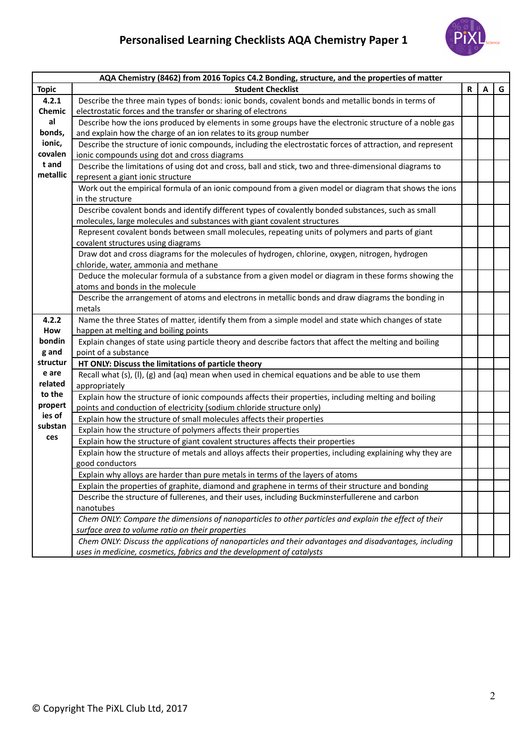## **Personalised Learning Checklists AQA Chemistry Paper 1**



|              | AQA Chemistry (8462) from 2016 Topics C4.2 Bonding, structure, and the properties of matter                  |              |   |   |
|--------------|--------------------------------------------------------------------------------------------------------------|--------------|---|---|
| <b>Topic</b> | <b>Student Checklist</b>                                                                                     | $\mathsf{R}$ | A | G |
| 4.2.1        | Describe the three main types of bonds: ionic bonds, covalent bonds and metallic bonds in terms of           |              |   |   |
| Chemic       | electrostatic forces and the transfer or sharing of electrons                                                |              |   |   |
| al           | Describe how the ions produced by elements in some groups have the electronic structure of a noble gas       |              |   |   |
| bonds,       | and explain how the charge of an ion relates to its group number                                             |              |   |   |
| ionic,       | Describe the structure of ionic compounds, including the electrostatic forces of attraction, and represent   |              |   |   |
| covalen      | ionic compounds using dot and cross diagrams                                                                 |              |   |   |
| t and        | Describe the limitations of using dot and cross, ball and stick, two and three-dimensional diagrams to       |              |   |   |
| metallic     | represent a giant ionic structure                                                                            |              |   |   |
|              | Work out the empirical formula of an ionic compound from a given model or diagram that shows the ions        |              |   |   |
|              | in the structure                                                                                             |              |   |   |
|              | Describe covalent bonds and identify different types of covalently bonded substances, such as small          |              |   |   |
|              | molecules, large molecules and substances with giant covalent structures                                     |              |   |   |
|              | Represent covalent bonds between small molecules, repeating units of polymers and parts of giant             |              |   |   |
|              | covalent structures using diagrams                                                                           |              |   |   |
|              | Draw dot and cross diagrams for the molecules of hydrogen, chlorine, oxygen, nitrogen, hydrogen              |              |   |   |
|              | chloride, water, ammonia and methane                                                                         |              |   |   |
|              | Deduce the molecular formula of a substance from a given model or diagram in these forms showing the         |              |   |   |
|              | atoms and bonds in the molecule                                                                              |              |   |   |
|              | Describe the arrangement of atoms and electrons in metallic bonds and draw diagrams the bonding in<br>metals |              |   |   |
| 4.2.2        | Name the three States of matter, identify them from a simple model and state which changes of state          |              |   |   |
| How          | happen at melting and boiling points                                                                         |              |   |   |
| bondin       | Explain changes of state using particle theory and describe factors that affect the melting and boiling      |              |   |   |
| g and        | point of a substance                                                                                         |              |   |   |
| structur     | HT ONLY: Discuss the limitations of particle theory                                                          |              |   |   |
| e are        | Recall what $(s)$ , $(l)$ , $(g)$ and $(aq)$ mean when used in chemical equations and be able to use them    |              |   |   |
| related      | appropriately                                                                                                |              |   |   |
| to the       | Explain how the structure of ionic compounds affects their properties, including melting and boiling         |              |   |   |
| propert      | points and conduction of electricity (sodium chloride structure only)                                        |              |   |   |
| ies of       | Explain how the structure of small molecules affects their properties                                        |              |   |   |
| substan      | Explain how the structure of polymers affects their properties                                               |              |   |   |
| ces          | Explain how the structure of giant covalent structures affects their properties                              |              |   |   |
|              | Explain how the structure of metals and alloys affects their properties, including explaining why they are   |              |   |   |
|              | good conductors                                                                                              |              |   |   |
|              | Explain why alloys are harder than pure metals in terms of the layers of atoms                               |              |   |   |
|              | Explain the properties of graphite, diamond and graphene in terms of their structure and bonding             |              |   |   |
|              | Describe the structure of fullerenes, and their uses, including Buckminsterfullerene and carbon              |              |   |   |
|              | nanotubes                                                                                                    |              |   |   |
|              | Chem ONLY: Compare the dimensions of nanoparticles to other particles and explain the effect of their        |              |   |   |
|              | surface area to volume ratio on their properties                                                             |              |   |   |
|              | Chem ONLY: Discuss the applications of nanoparticles and their advantages and disadvantages, including       |              |   |   |
|              | uses in medicine, cosmetics, fabrics and the development of catalysts                                        |              |   |   |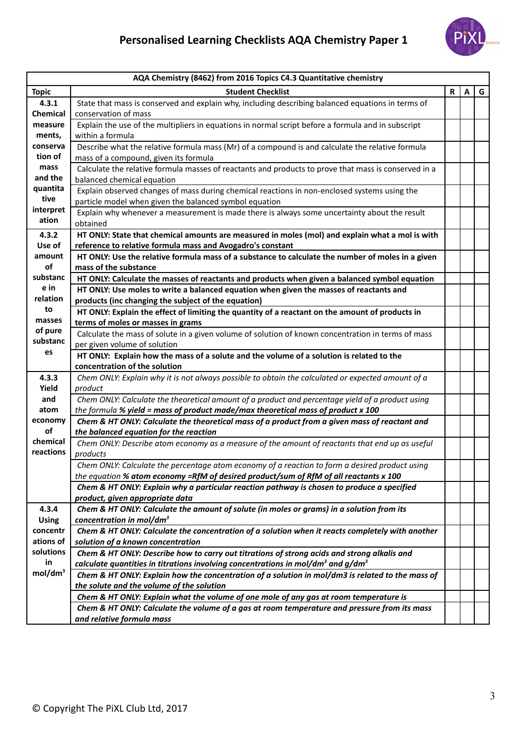

| AQA Chemistry (8462) from 2016 Topics C4.3 Quantitative chemistry |                                                                                                      |              |   |   |
|-------------------------------------------------------------------|------------------------------------------------------------------------------------------------------|--------------|---|---|
| <b>Topic</b>                                                      | <b>Student Checklist</b>                                                                             | $\mathsf{R}$ | A | G |
| 4.3.1                                                             | State that mass is conserved and explain why, including describing balanced equations in terms of    |              |   |   |
| <b>Chemical</b>                                                   | conservation of mass                                                                                 |              |   |   |
| measure                                                           | Explain the use of the multipliers in equations in normal script before a formula and in subscript   |              |   |   |
| ments,                                                            | within a formula                                                                                     |              |   |   |
| conserva                                                          | Describe what the relative formula mass (Mr) of a compound is and calculate the relative formula     |              |   |   |
| tion of                                                           | mass of a compound, given its formula                                                                |              |   |   |
| mass                                                              | Calculate the relative formula masses of reactants and products to prove that mass is conserved in a |              |   |   |
| and the                                                           | balanced chemical equation                                                                           |              |   |   |
| quantita                                                          | Explain observed changes of mass during chemical reactions in non-enclosed systems using the         |              |   |   |
| tive                                                              | particle model when given the balanced symbol equation                                               |              |   |   |
| interpret                                                         | Explain why whenever a measurement is made there is always some uncertainty about the result         |              |   |   |
| ation                                                             | obtained                                                                                             |              |   |   |
| 4.3.2                                                             | HT ONLY: State that chemical amounts are measured in moles (mol) and explain what a mol is with      |              |   |   |
| Use of                                                            | reference to relative formula mass and Avogadro's constant                                           |              |   |   |
| amount                                                            | HT ONLY: Use the relative formula mass of a substance to calculate the number of moles in a given    |              |   |   |
| of                                                                | mass of the substance                                                                                |              |   |   |
| substanc                                                          | HT ONLY: Calculate the masses of reactants and products when given a balanced symbol equation        |              |   |   |
| e in                                                              | HT ONLY: Use moles to write a balanced equation when given the masses of reactants and               |              |   |   |
| relation                                                          | products (inc changing the subject of the equation)                                                  |              |   |   |
| to                                                                | HT ONLY: Explain the effect of limiting the quantity of a reactant on the amount of products in      |              |   |   |
| masses                                                            | terms of moles or masses in grams                                                                    |              |   |   |
| of pure                                                           | Calculate the mass of solute in a given volume of solution of known concentration in terms of mass   |              |   |   |
| substanc                                                          | per given volume of solution                                                                         |              |   |   |
| es                                                                | HT ONLY: Explain how the mass of a solute and the volume of a solution is related to the             |              |   |   |
|                                                                   | concentration of the solution                                                                        |              |   |   |
| 4.3.3                                                             | Chem ONLY: Explain why it is not always possible to obtain the calculated or expected amount of a    |              |   |   |
| Yield                                                             | product                                                                                              |              |   |   |
| and                                                               | Chem ONLY: Calculate the theoretical amount of a product and percentage yield of a product using     |              |   |   |
| atom                                                              | the formula % yield = mass of product made/max theoretical mass of product x 100                     |              |   |   |
| economy                                                           | Chem & HT ONLY: Calculate the theoretical mass of a product from a given mass of reactant and        |              |   |   |
| of                                                                | the balanced equation for the reaction                                                               |              |   |   |
| chemical                                                          | Chem ONLY: Describe atom economy as a measure of the amount of reactants that end up as useful       |              |   |   |
| reactions                                                         | products                                                                                             |              |   |   |
|                                                                   | Chem ONLY: Calculate the percentage atom economy of a reaction to form a desired product using       |              |   |   |
|                                                                   | the equation % atom economy =RfM of desired product/sum of RfM of all reactants x 100                |              |   |   |
|                                                                   | Chem & HT ONLY: Explain why a particular reaction pathway is chosen to produce a specified           |              |   |   |
|                                                                   | product, given appropriate data                                                                      |              |   |   |
| 4.3.4                                                             | Chem & HT ONLY: Calculate the amount of solute (in moles or grams) in a solution from its            |              |   |   |
| <b>Using</b>                                                      | concentration in mol/dm <sup>3</sup>                                                                 |              |   |   |
| concentr                                                          | Chem & HT ONLY: Calculate the concentration of a solution when it reacts completely with another     |              |   |   |
| ations of                                                         | solution of a known concentration                                                                    |              |   |   |
| solutions                                                         | Chem & HT ONLY: Describe how to carry out titrations of strong acids and strong alkalis and          |              |   |   |
| in                                                                | calculate quantities in titrations involving concentrations in mol/dm <sup>3</sup> and $g/dm3$       |              |   |   |
| mol/dm <sup>3</sup>                                               | Chem & HT ONLY: Explain how the concentration of a solution in mol/dm3 is related to the mass of     |              |   |   |
|                                                                   | the solute and the volume of the solution                                                            |              |   |   |
|                                                                   | Chem & HT ONLY: Explain what the volume of one mole of any gas at room temperature is                |              |   |   |
|                                                                   | Chem & HT ONLY: Calculate the volume of a gas at room temperature and pressure from its mass         |              |   |   |
|                                                                   | and relative formula mass                                                                            |              |   |   |
|                                                                   |                                                                                                      |              |   |   |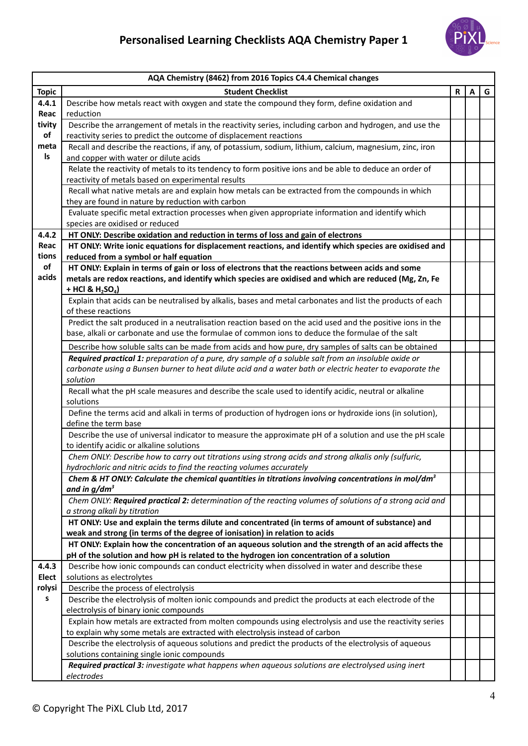

|              | AQA Chemistry (8462) from 2016 Topics C4.4 Chemical changes                                                                                                                            |    |   |   |
|--------------|----------------------------------------------------------------------------------------------------------------------------------------------------------------------------------------|----|---|---|
| <b>Topic</b> | <b>Student Checklist</b>                                                                                                                                                               | R. | A | G |
| 4.4.1        | Describe how metals react with oxygen and state the compound they form, define oxidation and                                                                                           |    |   |   |
| Reac         | reduction                                                                                                                                                                              |    |   |   |
| tivity       | Describe the arrangement of metals in the reactivity series, including carbon and hydrogen, and use the                                                                                |    |   |   |
| of           | reactivity series to predict the outcome of displacement reactions                                                                                                                     |    |   |   |
| meta         | Recall and describe the reactions, if any, of potassium, sodium, lithium, calcium, magnesium, zinc, iron                                                                               |    |   |   |
| Is           | and copper with water or dilute acids                                                                                                                                                  |    |   |   |
|              | Relate the reactivity of metals to its tendency to form positive ions and be able to deduce an order of                                                                                |    |   |   |
|              | reactivity of metals based on experimental results                                                                                                                                     |    |   |   |
|              | Recall what native metals are and explain how metals can be extracted from the compounds in which<br>they are found in nature by reduction with carbon                                 |    |   |   |
|              | Evaluate specific metal extraction processes when given appropriate information and identify which                                                                                     |    |   |   |
|              | species are oxidised or reduced                                                                                                                                                        |    |   |   |
| 4.4.2        | HT ONLY: Describe oxidation and reduction in terms of loss and gain of electrons                                                                                                       |    |   |   |
| Reac         | HT ONLY: Write ionic equations for displacement reactions, and identify which species are oxidised and                                                                                 |    |   |   |
| tions        | reduced from a symbol or half equation                                                                                                                                                 |    |   |   |
| of           | HT ONLY: Explain in terms of gain or loss of electrons that the reactions between acids and some                                                                                       |    |   |   |
| acids        | metals are redox reactions, and identify which species are oxidised and which are reduced (Mg, Zn, Fe                                                                                  |    |   |   |
|              | + HCl & $H_2SO_4$ )                                                                                                                                                                    |    |   |   |
|              | Explain that acids can be neutralised by alkalis, bases and metal carbonates and list the products of each                                                                             |    |   |   |
|              | of these reactions                                                                                                                                                                     |    |   |   |
|              | Predict the salt produced in a neutralisation reaction based on the acid used and the positive ions in the                                                                             |    |   |   |
|              | base, alkali or carbonate and use the formulae of common ions to deduce the formulae of the salt                                                                                       |    |   |   |
|              | Describe how soluble salts can be made from acids and how pure, dry samples of salts can be obtained                                                                                   |    |   |   |
|              | Required practical 1: preparation of a pure, dry sample of a soluble salt from an insoluble oxide or                                                                                   |    |   |   |
|              | carbonate using a Bunsen burner to heat dilute acid and a water bath or electric heater to evaporate the                                                                               |    |   |   |
|              | solution                                                                                                                                                                               |    |   |   |
|              | Recall what the pH scale measures and describe the scale used to identify acidic, neutral or alkaline<br>solutions                                                                     |    |   |   |
|              | Define the terms acid and alkali in terms of production of hydrogen ions or hydroxide ions (in solution),                                                                              |    |   |   |
|              | define the term base                                                                                                                                                                   |    |   |   |
|              | Describe the use of universal indicator to measure the approximate pH of a solution and use the pH scale                                                                               |    |   |   |
|              | to identify acidic or alkaline solutions                                                                                                                                               |    |   |   |
|              | Chem ONLY: Describe how to carry out titrations using strong acids and strong alkalis only (sulfuric,                                                                                  |    |   |   |
|              | hydrochloric and nitric acids to find the reacting volumes accurately                                                                                                                  |    |   |   |
|              | Chem & HT ONLY: Calculate the chemical quantities in titrations involving concentrations in mol/dm <sup>3</sup>                                                                        |    |   |   |
|              | and in $g/dm^3$                                                                                                                                                                        |    |   |   |
|              | Chem ONLY: Required practical 2: determination of the reacting volumes of solutions of a strong acid and<br>a strong alkali by titration                                               |    |   |   |
|              | HT ONLY: Use and explain the terms dilute and concentrated (in terms of amount of substance) and                                                                                       |    |   |   |
|              | weak and strong (in terms of the degree of ionisation) in relation to acids                                                                                                            |    |   |   |
|              | HT ONLY: Explain how the concentration of an aqueous solution and the strength of an acid affects the                                                                                  |    |   |   |
|              | pH of the solution and how pH is related to the hydrogen ion concentration of a solution                                                                                               |    |   |   |
| 4.4.3        | Describe how ionic compounds can conduct electricity when dissolved in water and describe these                                                                                        |    |   |   |
| Elect        | solutions as electrolytes                                                                                                                                                              |    |   |   |
| rolysi       | Describe the process of electrolysis                                                                                                                                                   |    |   |   |
| s            | Describe the electrolysis of molten ionic compounds and predict the products at each electrode of the                                                                                  |    |   |   |
|              | electrolysis of binary ionic compounds                                                                                                                                                 |    |   |   |
|              | Explain how metals are extracted from molten compounds using electrolysis and use the reactivity series                                                                                |    |   |   |
|              | to explain why some metals are extracted with electrolysis instead of carbon<br>Describe the electrolysis of aqueous solutions and predict the products of the electrolysis of aqueous |    |   |   |
|              | solutions containing single ionic compounds                                                                                                                                            |    |   |   |
|              | Required practical 3: investigate what happens when aqueous solutions are electrolysed using inert                                                                                     |    |   |   |
|              | electrodes                                                                                                                                                                             |    |   |   |
|              |                                                                                                                                                                                        |    |   |   |